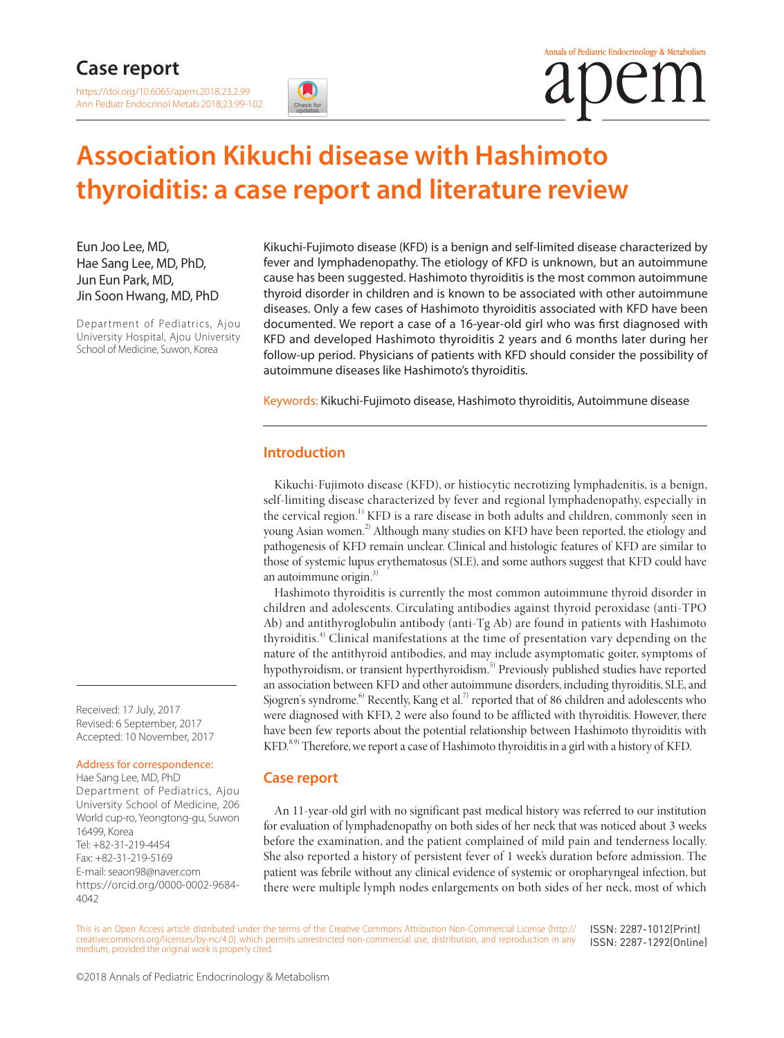# **Case report**

<https://doi.org/10.6065/apem.2018.23.2.99> Ann Pediatr Endocrinol Metab 2018;23:99-102

# **Association Kikuchi disease with Hashimoto thyroiditis: a case report and literature review**

Eun Joo Lee, MD, Hae Sang Lee, MD, PhD, Jun Eun Park, MD, Jin Soon Hwang, MD, PhD

Department of Pediatrics, Ajou University Hospital, Ajou University School of Medicine, Suwon, Korea

Kikuchi-Fujimoto disease (KFD) is a benign and self-limited disease characterized by fever and lymphadenopathy. The etiology of KFD is unknown, but an autoimmune cause has been suggested. Hashimoto thyroiditis is the most common autoimmune thyroid disorder in children and is known to be associated with other autoimmune diseases. Only a few cases of Hashimoto thyroiditis associated with KFD have been documented. We report a case of a 16-year-old girl who was first diagnosed with KFD and developed Hashimoto thyroiditis 2 years and 6 months later during her follow-up period. Physicians of patients with KFD should consider the possibility of autoimmune diseases like Hashimoto's thyroiditis.

Keywords: Kikuchi-Fujimoto disease, Hashimoto thyroiditis, Autoimmune disease

# **Introduction**

Kikuchi-Fujimoto disease (KFD), or histiocytic necrotizing lymphadenitis, is a benign, self-limiting disease characterized by fever and regional lymphadenopathy, especially in the cervical region.<sup>1)</sup> KFD is a rare disease in both adults and children, commonly seen in young Asian women.<sup>2)</sup> Although many studies on KFD have been reported, the etiology and pathogenesis of KFD remain unclear. Clinical and histologic features of KFD are similar to those of systemic lupus erythematosus (SLE), and some authors suggest that KFD could have an autoimmune origin. $3$ )

Hashimoto thyroiditis is currently the most common autoimmune thyroid disorder in children and adolescents. Circulating antibodies against thyroid peroxidase (anti-TPO Ab) and antithyroglobulin antibody (anti-Tg Ab) are found in patients with Hashimoto thyroiditis.<sup>4)</sup> Clinical manifestations at the time of presentation vary depending on the nature of the antithyroid antibodies, and may include asymptomatic goiter, symptoms of hypothyroidism, or transient hyperthyroidism.<sup>5)</sup> Previously published studies have reported an association between KFD and other autoimmune disorders, including thyroiditis, SLE, and Sjogren's syndrome.<sup>6)</sup> Recently, Kang et al.<sup>7)</sup> reported that of 86 children and adolescents who were diagnosed with KFD, 2 were also found to be afflicted with thyroiditis. However, there have been few reports about the potential relationship between Hashimoto thyroiditis with KFD.<sup>8,9)</sup> Therefore, we report a case of Hashimoto thyroiditis in a girl with a history of KFD.

# **Case report**

An 11-year-old girl with no significant past medical history was referred to our institution for evaluation of lymphadenopathy on both sides of her neck that was noticed about 3 weeks before the examination, and the patient complained of mild pain and tenderness locally. She also reported a history of persistent fever of 1 week's duration before admission. The patient was febrile without any clinical evidence of systemic or oropharyngeal infection, but there were multiple lymph nodes enlargements on both sides of her neck, most of which

This is an Open Access article distributed under the terms of the Creative Commons Attribution Non-Commercial License [\(http://](http://creativecommons.org/licenses/by-nc/4.0) [creativecommons.org/licenses/by-nc/4.0](http://creativecommons.org/licenses/by-nc/4.0)) which permits unrestricted non-commercial use, distribution, and reproduction in any medium, provided the original work is properly cited. ISSN: 2287-1012(Print) ISSN: 2287-1292(Online)

Received: 17 July, 2017 Revised: 6 September, 2017 Accepted: 10 November, 2017

#### Address for correspondence:

Hae Sang Lee, MD, PhD Department of Pediatrics, Ajou University School of Medicine, 206 World cup-ro, Yeongtong-gu, Suwon 16499, Korea Tel: +82-31-219-4454 Fax: +82-31-219-5169 E-mail: seaon98@naver.com [https://orcid.org/0000-0002-9684-](https://orcid.org/0000-0002-9684-4042) [4042](https://orcid.org/0000-0002-9684-4042)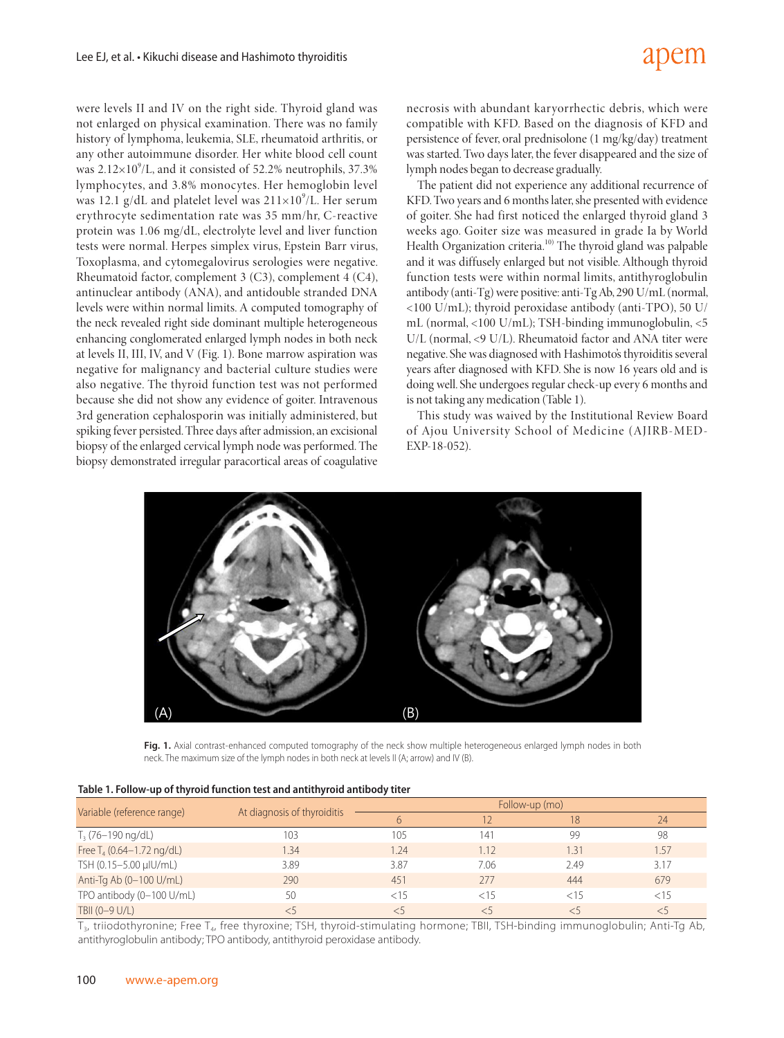# apem

were levels II and IV on the right side. Thyroid gland was not enlarged on physical examination. There was no family history of lymphoma, leukemia, SLE, rheumatoid arthritis, or any other autoimmune disorder. Her white blood cell count was  $2.12\times10^9$ /L, and it consisted of 52.2% neutrophils, 37.3% lymphocytes, and 3.8% monocytes. Her hemoglobin level was 12.1 g/dL and platelet level was  $211\times10^9$ /L. Her serum erythrocyte sedimentation rate was 35 mm/hr, C-reactive protein was 1.06 mg/dL, electrolyte level and liver function tests were normal. Herpes simplex virus, Epstein Barr virus, Toxoplasma, and cytomegalovirus serologies were negative. Rheumatoid factor, complement 3 (C3), complement 4 (C4), antinuclear antibody (ANA), and antidouble stranded DNA levels were within normal limits. A computed tomography of the neck revealed right side dominant multiple heterogeneous enhancing conglomerated enlarged lymph nodes in both neck at levels II, III, IV, and V (Fig. 1). Bone marrow aspiration was negative for malignancy and bacterial culture studies were also negative. The thyroid function test was not performed because she did not show any evidence of goiter. Intravenous 3rd generation cephalosporin was initially administered, but spiking fever persisted. Three days after admission, an excisional biopsy of the enlarged cervical lymph node was performed. The biopsy demonstrated irregular paracortical areas of coagulative

necrosis with abundant karyorrhectic debris, which were compatible with KFD. Based on the diagnosis of KFD and persistence of fever, oral prednisolone (1 mg/kg/day) treatment was started. Two days later, the fever disappeared and the size of lymph nodes began to decrease gradually.

The patient did not experience any additional recurrence of KFD. Two years and 6 months later, she presented with evidence of goiter. She had first noticed the enlarged thyroid gland 3 weeks ago. Goiter size was measured in grade Ia by World Health Organization criteria.<sup>10)</sup> The thyroid gland was palpable and it was diffusely enlarged but not visible. Although thyroid function tests were within normal limits, antithyroglobulin antibody (anti-Tg) were positive: anti-Tg Ab, 290 U/mL (normal, <100 U/mL); thyroid peroxidase antibody (anti-TPO), 50 U/ mL (normal, <100 U/mL); TSH-binding immunoglobulin, <5 U/L (normal, <9 U/L). Rheumatoid factor and ANA titer were negative. She was diagnosed with Hashimoto's thyroiditis several years after diagnosed with KFD. She is now 16 years old and is doing well. She undergoes regular check-up every 6 months and is not taking any medication (Table 1).

This study was waived by the Institutional Review Board of Ajou University School of Medicine (AJIRB-MED-EXP-18-052).



Fig. 1. Axial contrast-enhanced computed tomography of the neck show multiple heterogeneous enlarged lymph nodes in both neck. The maximum size of the lymph nodes in both neck at levels II (A; arrow) and IV (B).

|--|

|                              | At diagnosis of thyroiditis | Follow-up (mo) |      |         |      |
|------------------------------|-----------------------------|----------------|------|---------|------|
| Variable (reference range)   |                             | 6              |      | 18      | 74   |
| $T_3$ (76–190 ng/dL)         | 103                         | 105            | 141  | 99      | 98   |
| Free $T_4$ (0.64-1.72 ng/dL) | 1.34                        | 1.24           | 1.12 | .31     | 1.57 |
| TSH (0.15-5.00 µIU/mL)       | 3.89                        | 3.87           | 7.06 | 2.49    | 3.17 |
| Anti-Tg Ab (0-100 U/mL)      | 290                         | 451            | 277  | 444     | 679  |
| TPO antibody (0-100 U/mL)    | 50                          | < 15           | 15   | ${<}15$ | < 15 |
| TBII (0-9 U/L)               |                             |                |      |         | < 5  |

 $T_{3}$ , triiodothyronine; Free T<sub>4</sub>, free thyroxine; TSH, thyroid-stimulating hormone; TBII, TSH-binding immunoglobulin; Anti-Tg Ab, antithyroglobulin antibody; TPO antibody, antithyroid peroxidase antibody.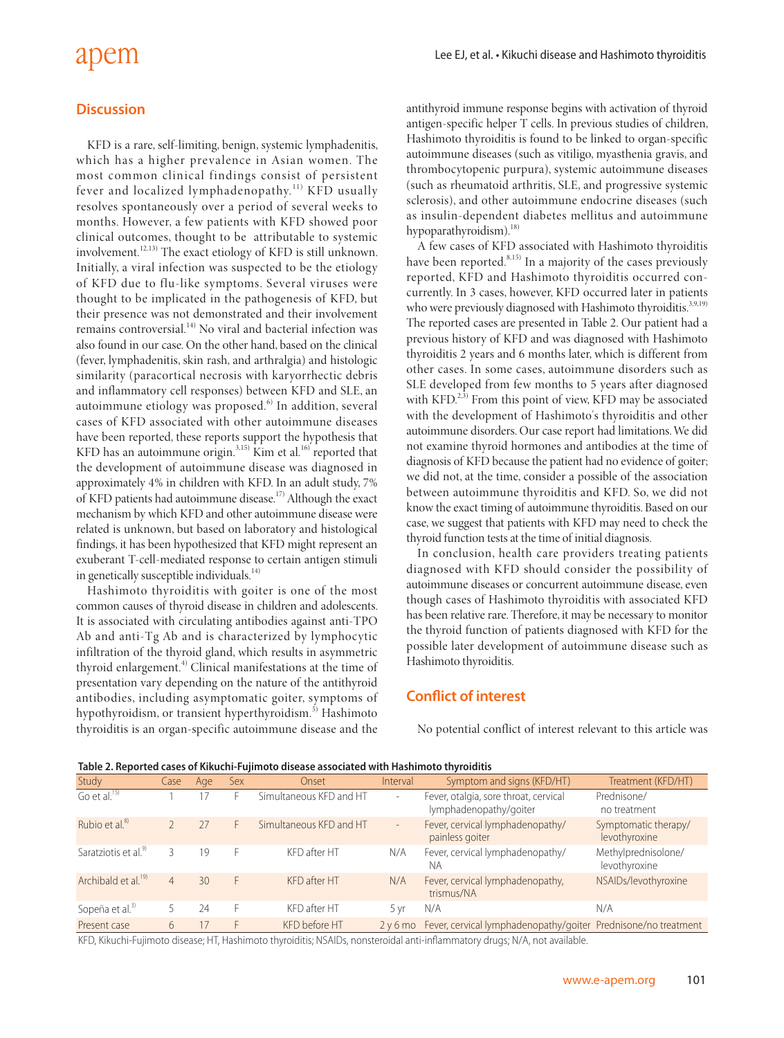# apem

#### **Discussion**

KFD is a rare, self-limiting, benign, systemic lymphadenitis, which has a higher prevalence in Asian women. The most common clinical findings consist of persistent fever and localized lymphadenopathy.<sup>11)</sup> KFD usually resolves spontaneously over a period of several weeks to months. However, a few patients with KFD showed poor clinical outcomes, thought to be attributable to systemic involvement.12,13) The exact etiology of KFD is still unknown. Initially, a viral infection was suspected to be the etiology of KFD due to flu-like symptoms. Several viruses were thought to be implicated in the pathogenesis of KFD, but their presence was not demonstrated and their involvement remains controversial.14) No viral and bacterial infection was also found in our case. On the other hand, based on the clinical (fever, lymphadenitis, skin rash, and arthralgia) and histologic similarity (paracortical necrosis with karyorrhectic debris and inflammatory cell responses) between KFD and SLE, an autoimmune etiology was proposed.<sup>6)</sup> In addition, several cases of KFD associated with other autoimmune diseases have been reported, these reports support the hypothesis that KFD has an autoimmune origin. $^{3,15)}$  Kim et al.<sup>16)</sup> reported that the development of autoimmune disease was diagnosed in approximately 4% in children with KFD. In an adult study, 7% of KFD patients had autoimmune disease.17) Although the exact mechanism by which KFD and other autoimmune disease were related is unknown, but based on laboratory and histological findings, it has been hypothesized that KFD might represent an exuberant T-cell-mediated response to certain antigen stimuli in genetically susceptible individuals.<sup>14)</sup>

Hashimoto thyroiditis with goiter is one of the most common causes of thyroid disease in children and adolescents. It is associated with circulating antibodies against anti-TPO Ab and anti-Tg Ab and is characterized by lymphocytic infiltration of the thyroid gland, which results in asymmetric thyroid enlargement.<sup>4)</sup> Clinical manifestations at the time of presentation vary depending on the nature of the antithyroid antibodies, including asymptomatic goiter, symptoms of hypothyroidism, or transient hyperthyroidism.<sup>5)</sup> Hashimoto thyroiditis is an organ-specific autoimmune disease and the antithyroid immune response begins with activation of thyroid antigen-specific helper T cells. In previous studies of children, Hashimoto thyroiditis is found to be linked to organ-specific autoimmune diseases (such as vitiligo, myasthenia gravis, and thrombocytopenic purpura), systemic autoimmune diseases (such as rheumatoid arthritis, SLE, and progressive systemic sclerosis), and other autoimmune endocrine diseases (such as insulin-dependent diabetes mellitus and autoimmune hypoparathyroidism). $^{18)}$ 

A few cases of KFD associated with Hashimoto thyroiditis have been reported. $8,15)$  In a majority of the cases previously reported, KFD and Hashimoto thyroiditis occurred concurrently. In 3 cases, however, KFD occurred later in patients who were previously diagnosed with Hashimoto thyroiditis.<sup>3,9,19)</sup> The reported cases are presented in Table 2. Our patient had a previous history of KFD and was diagnosed with Hashimoto thyroiditis 2 years and 6 months later, which is different from other cases. In some cases, autoimmune disorders such as SLE developed from few months to 5 years after diagnosed with  $KFD$ <sup> $2,3)$ </sup> From this point of view, KFD may be associated with the development of Hashimoto's thyroiditis and other autoimmune disorders. Our case report had limitations. We did not examine thyroid hormones and antibodies at the time of diagnosis of KFD because the patient had no evidence of goiter; we did not, at the time, consider a possible of the association between autoimmune thyroiditis and KFD. So, we did not know the exact timing of autoimmune thyroiditis. Based on our case, we suggest that patients with KFD may need to check the thyroid function tests at the time of initial diagnosis.

In conclusion, health care providers treating patients diagnosed with KFD should consider the possibility of autoimmune diseases or concurrent autoimmune disease, even though cases of Hashimoto thyroiditis with associated KFD has been relative rare. Therefore, it may be necessary to monitor the thyroid function of patients diagnosed with KFD for the possible later development of autoimmune disease such as Hashimoto thyroiditis.

# **Conflict of interest**

No potential conflict of interest relevant to this article was

| Table 2. Reported cases of Kikuchi-Fujinioto disease associated with Hashinioto thyrolditis |                |     |     |                         |                          |                                                                 |                                       |  |  |  |
|---------------------------------------------------------------------------------------------|----------------|-----|-----|-------------------------|--------------------------|-----------------------------------------------------------------|---------------------------------------|--|--|--|
| Study                                                                                       | Case           | Age | Sex | Onset                   | Interval                 | Symptom and signs (KFD/HT)                                      | Treatment (KFD/HT)                    |  |  |  |
| Go et al. $^{15)}$                                                                          |                |     |     | Simultaneous KFD and HT | $\sim$                   | Fever, otalgia, sore throat, cervical<br>lymphadenopathy/goiter | Prednisone/<br>no treatment           |  |  |  |
| Rubio et al. <sup>8)</sup>                                                                  |                | 27  | Н.  | Simultaneous KFD and HT | $\overline{\phantom{a}}$ | Fever, cervical lymphadenopathy/<br>painless goiter             | Symptomatic therapy/<br>levothyroxine |  |  |  |
| Saratziotis et al. <sup>99</sup>                                                            |                | 19  |     | KFD after HT            | N/A                      | Fever, cervical lymphadenopathy/<br>NA                          | Methylprednisolone/<br>levothyroxine  |  |  |  |
| Archibald et al. <sup>19)</sup>                                                             | $\overline{4}$ | 30  | F.  | KFD after HT            | N/A                      | Fever, cervical lymphadenopathy,<br>trismus/NA                  | NSAIDs/levothyroxine                  |  |  |  |
| Sopeña et al. <sup>3)</sup>                                                                 |                | 24  |     | KFD after HT            | 5 yr                     | N/A                                                             | N/A                                   |  |  |  |
| Present case                                                                                | 6              |     |     | KFD before HT           | 2v6mo                    | Fever, cervical lymphadenopathy/goiter Prednisone/no treatment  |                                       |  |  |  |

**Table 2. Reported cases of Kikuchi-Fujimoto disease associated with Hashimoto thyroiditis** 

KFD, Kikuchi-Fujimoto disease; HT, Hashimoto thyroiditis; NSAIDs, nonsteroidal anti-inflammatory drugs; N/A, not available.